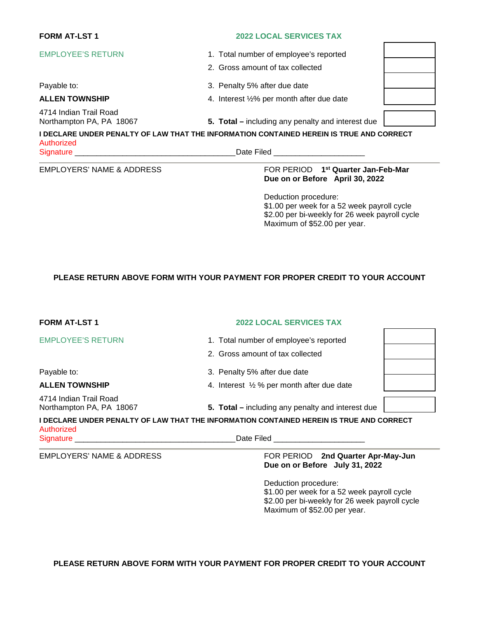# **FORM AT-LST 1 2022 LOCAL SERVICES TAX**

EMPLOYEE'S RETURN 1. Total number of employee's reported

Payable to:  $\begin{array}{ccc} 3. & \text{Penalty} \ 5\% & \text{after due date} \end{array}$ 

## **ALLEN TOWNSHIP** 4. Interest ½% per month after due date

4714 Indian Trail Road

Northampton PA, PA 18067 **5. Total –** including any penalty and interest due

**I DECLARE UNDER PENALTY OF LAW THAT THE INFORMATION CONTAINED HEREIN IS TRUE AND CORRECT**  Authorized Signature **Example 20** and the set of the set of the Signature **Date Filed**  $\Box$ 

2. Gross amount of tax collected

#### **EMPLOYERS' NAME & ADDRESS**

### **FOR PERIOD** 1<sup>st</sup> Quarter Jan-Feb-Mar **Due on or Before April 30, 2022**

Deduction procedure: \$1.00 per week for a 52 week payroll cycle \$2.00 per bi-weekly for 26 week payroll cycle Maximum of \$52.00 per year.

# **PLEASE RETURN ABOVE FORM WITH YOUR PAYMENT FOR PROPER CREDIT TO YOUR ACCOUNT**

| <b>FORM AT-LST 1</b>                                             | <b>2022 LOCAL SERVICES TAX</b>                                                                                                          |  |
|------------------------------------------------------------------|-----------------------------------------------------------------------------------------------------------------------------------------|--|
| <b>EMPLOYEE'S RETURN</b><br>Payable to:<br><b>ALLEN TOWNSHIP</b> | 1. Total number of employee's reported<br>2. Gross amount of tax collected                                                              |  |
|                                                                  | 3. Penalty 5% after due date<br>4. Interest 1/2 % per month after due date                                                              |  |
| 4714 Indian Trail Road<br>Northampton PA, PA 18067               | 5. Total – including any penalty and interest due                                                                                       |  |
| Authorized<br>Signature ___________                              | I DECLARE UNDER PENALTY OF LAW THAT THE INFORMATION CONTAINED HEREIN IS TRUE AND CORRECT<br>Date Filed <b>Date Community Date Filed</b> |  |
| <b>EMPLOYERS' NAME &amp; ADDRESS</b>                             | FOR PERIOD 2nd Quarter Apr-May-Jun<br>Due on or Before July 31, 2022                                                                    |  |

Deduction procedure: \$1.00 per week for a 52 week payroll cycle \$2.00 per bi-weekly for 26 week payroll cycle Maximum of \$52.00 per year.

**PLEASE RETURN ABOVE FORM WITH YOUR PAYMENT FOR PROPER CREDIT TO YOUR ACCOUNT**